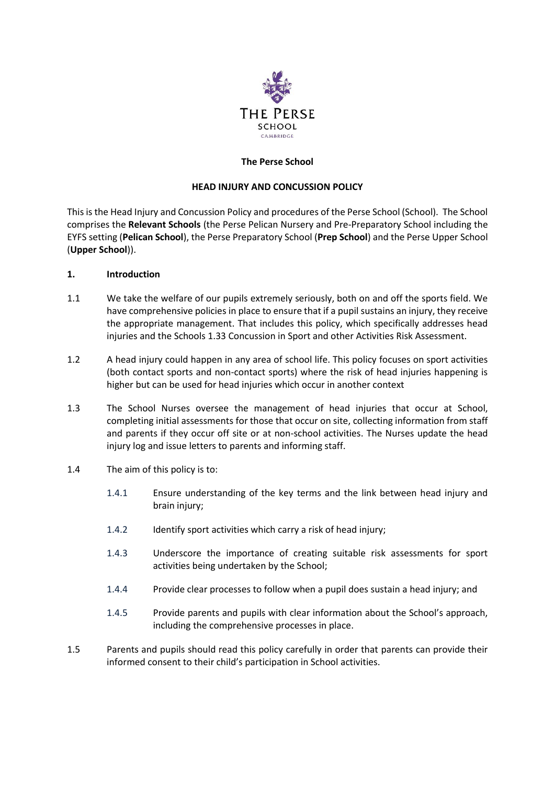

## **The Perse School**

#### **HEAD INJURY AND CONCUSSION POLICY**

This is the Head Injury and Concussion Policy and procedures of the Perse School (School). The School comprises the **Relevant Schools** (the Perse Pelican Nursery and Pre-Preparatory School including the EYFS setting (**Pelican School**), the Perse Preparatory School (**Prep School**) and the Perse Upper School (**Upper School**)).

## **1. Introduction**

- 1.1 We take the welfare of our pupils extremely seriously, both on and off the sports field. We have comprehensive policies in place to ensure that if a pupil sustains an injury, they receive the appropriate management. That includes this policy, which specifically addresses head injuries and the Schools 1.33 Concussion in Sport and other Activities Risk Assessment.
- 1.2 A head injury could happen in any area of school life. This policy focuses on sport activities (both contact sports and non-contact sports) where the risk of head injuries happening is higher but can be used for head injuries which occur in another context
- 1.3 The School Nurses oversee the management of head injuries that occur at School, completing initial assessments for those that occur on site, collecting information from staff and parents if they occur off site or at non-school activities. The Nurses update the head injury log and issue letters to parents and informing staff.
- 1.4 The aim of this policy is to:
	- 1.4.1 Ensure understanding of the key terms and the link between head injury and brain injury:
	- 1.4.2 Identify sport activities which carry a risk of head injury;
	- 1.4.3 Underscore the importance of creating suitable risk assessments for sport activities being undertaken by the School;
	- 1.4.4 Provide clear processes to follow when a pupil does sustain a head injury; and
	- 1.4.5 Provide parents and pupils with clear information about the School's approach, including the comprehensive processes in place.
- 1.5 Parents and pupils should read this policy carefully in order that parents can provide their informed consent to their child's participation in School activities.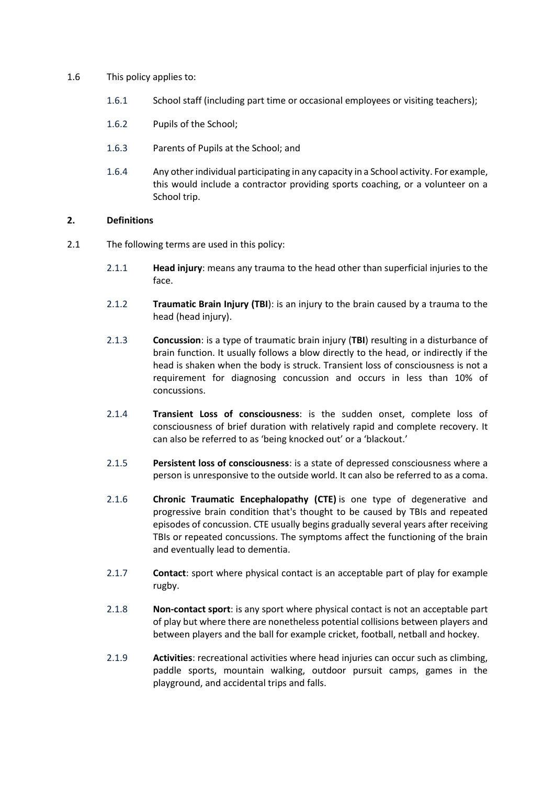#### 1.6 This policy applies to:

- 1.6.1 School staff (including part time or occasional employees or visiting teachers);
- 1.6.2 Pupils of the School;
- 1.6.3 Parents of Pupils at the School; and
- 1.6.4 Any other individual participating in any capacity in a School activity. For example, this would include a contractor providing sports coaching, or a volunteer on a School trip.

#### **2. Definitions**

- 2.1 The following terms are used in this policy:
	- 2.1.1 **Head injury**: means any trauma to the head other than superficial injuries to the face.
	- 2.1.2 **Traumatic Brain Injury (TBI**): is an injury to the brain caused by a trauma to the head (head injury).
	- 2.1.3 **Concussion**: is a type of traumatic brain injury (**TBI**) resulting in a disturbance of brain function. It usually follows a blow directly to the head, or indirectly if the head is shaken when the body is struck. Transient loss of consciousness is not a requirement for diagnosing concussion and occurs in less than 10% of concussions.
	- 2.1.4 **Transient Loss of consciousness**: is the sudden onset, complete loss of consciousness of brief duration with relatively rapid and complete recovery. It can also be referred to as 'being knocked out' or a 'blackout.'
	- 2.1.5 **Persistent loss of consciousness**: is a state of depressed consciousness where a person is unresponsive to the outside world. It can also be referred to as a coma.
	- 2.1.6 **Chronic Traumatic Encephalopathy (CTE)** is one type of degenerative and progressive brain condition that's thought to be caused by TBIs and repeated episodes of concussion. CTE usually begins gradually several years after receiving TBIs or repeated concussions. The symptoms affect the functioning of the brain and eventually lead to dementia.
	- 2.1.7 **Contact**: sport where physical contact is an acceptable part of play for example rugby.
	- 2.1.8 **Non-contact sport**: is any sport where physical contact is not an acceptable part of play but where there are nonetheless potential collisions between players and between players and the ball for example cricket, football, netball and hockey.
	- 2.1.9 **Activities**: recreational activities where head injuries can occur such as climbing, paddle sports, mountain walking, outdoor pursuit camps, games in the playground, and accidental trips and falls.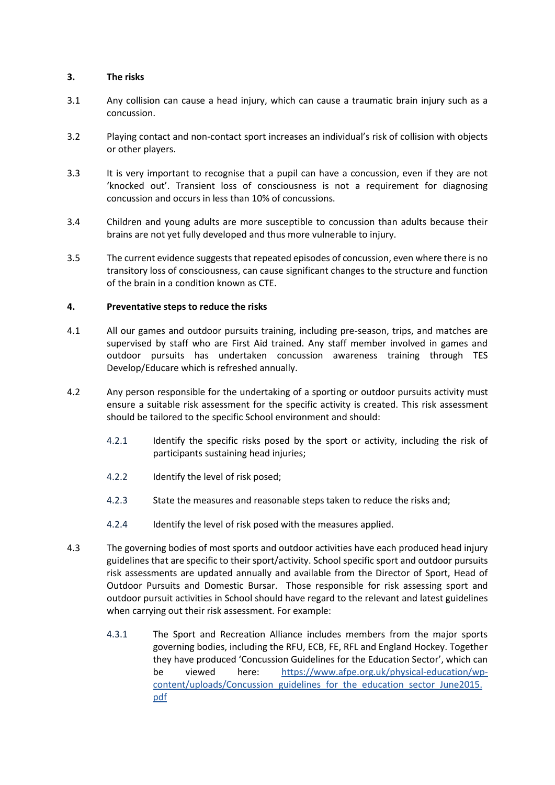## **3. The risks**

- 3.1 Any collision can cause a head injury, which can cause a traumatic brain injury such as a concussion.
- 3.2 Playing contact and non-contact sport increases an individual's risk of collision with objects or other players.
- 3.3 It is very important to recognise that a pupil can have a concussion, even if they are not 'knocked out'. Transient loss of consciousness is not a requirement for diagnosing concussion and occurs in less than 10% of concussions.
- 3.4 Children and young adults are more susceptible to concussion than adults because their brains are not yet fully developed and thus more vulnerable to injury.
- 3.5 The current evidence suggests that repeated episodes of concussion, even where there is no transitory loss of consciousness, can cause significant changes to the structure and function of the brain in a condition known as CTE.

## **4. Preventative steps to reduce the risks**

- 4.1 All our games and outdoor pursuits training, including pre-season, trips, and matches are supervised by staff who are First Aid trained. Any staff member involved in games and outdoor pursuits has undertaken concussion awareness training through TES Develop/Educare which is refreshed annually.
- 4.2 Any person responsible for the undertaking of a sporting or outdoor pursuits activity must ensure a suitable risk assessment for the specific activity is created. This risk assessment should be tailored to the specific School environment and should:
	- 4.2.1 Identify the specific risks posed by the sport or activity, including the risk of participants sustaining head injuries;
	- 4.2.2 Identify the level of risk posed;
	- 4.2.3 State the measures and reasonable steps taken to reduce the risks and;
	- 4.2.4 Identify the level of risk posed with the measures applied.
- 4.3 The governing bodies of most sports and outdoor activities have each produced head injury guidelines that are specific to their sport/activity. School specific sport and outdoor pursuits risk assessments are updated annually and available from the Director of Sport, Head of Outdoor Pursuits and Domestic Bursar. Those responsible for risk assessing sport and outdoor pursuit activities in School should have regard to the relevant and latest guidelines when carrying out their risk assessment. For example:
	- 4.3.1 The Sport and Recreation Alliance includes members from the major sports governing bodies, including the RFU, ECB, FE, RFL and England Hockey. Together they have produced 'Concussion Guidelines for the Education Sector', which can be viewed here: [https://www.afpe.org.uk/physical-education/wp](https://www.afpe.org.uk/physical-education/wp-content/uploads/Concussion_guidelines_for_the_education_sector_June2015.pdf)[content/uploads/Concussion\\_guidelines\\_for\\_the\\_education\\_sector\\_June2015.](https://www.afpe.org.uk/physical-education/wp-content/uploads/Concussion_guidelines_for_the_education_sector_June2015.pdf) [pdf](https://www.afpe.org.uk/physical-education/wp-content/uploads/Concussion_guidelines_for_the_education_sector_June2015.pdf)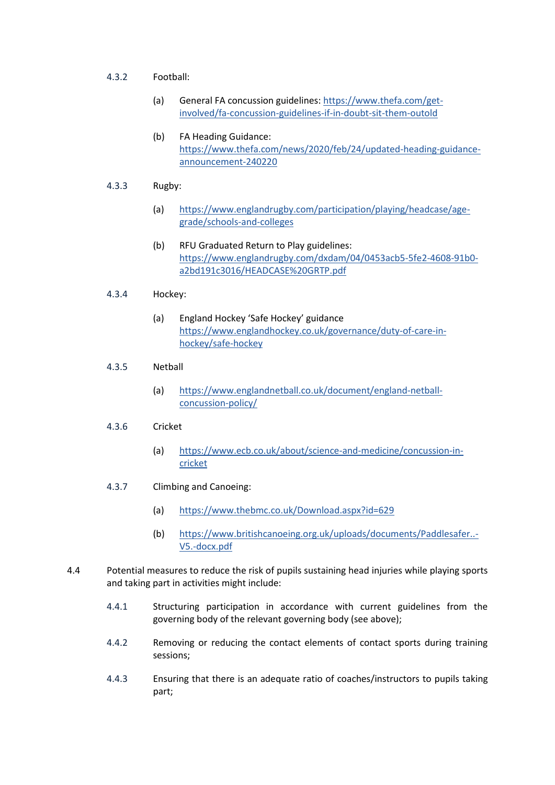#### 4.3.2 Football:

- (a) General FA concussion guidelines: [https://www.thefa.com/get](https://www.thefa.com/get-involved/fa-concussion-guidelines-if-in-doubt-sit-them-outold)[involved/fa-concussion-guidelines-if-in-doubt-sit-them-outold](https://www.thefa.com/get-involved/fa-concussion-guidelines-if-in-doubt-sit-them-outold)
- (b) FA Heading Guidance: [https://www.thefa.com/news/2020/feb/24/updated-heading-guidance](https://www.thefa.com/news/2020/feb/24/updated-heading-guidance-announcement-240220)[announcement-240220](https://www.thefa.com/news/2020/feb/24/updated-heading-guidance-announcement-240220)
- 4.3.3 Rugby:
	- (a) [https://www.englandrugby.com/participation/playing/headcase/age](https://www.englandrugby.com/participation/playing/headcase/age-grade/schools-and-colleges)[grade/schools-and-colleges](https://www.englandrugby.com/participation/playing/headcase/age-grade/schools-and-colleges)
	- (b) RFU Graduated Return to Play guidelines: [https://www.englandrugby.com/dxdam/04/0453acb5-5fe2-4608-91b0](https://www.englandrugby.com/dxdam/04/0453acb5-5fe2-4608-91b0-a2bd191c3016/HEADCASE%20GRTP.pdf) [a2bd191c3016/HEADCASE%20GRTP.pdf](https://www.englandrugby.com/dxdam/04/0453acb5-5fe2-4608-91b0-a2bd191c3016/HEADCASE%20GRTP.pdf)

#### 4.3.4 Hockey:

(a) England Hockey 'Safe Hockey' guidance [https://www.englandhockey.co.uk/governance/duty-of-care-in](https://www.englandhockey.co.uk/governance/duty-of-care-in-hockey/safe-hockey)[hockey/safe-hockey](https://www.englandhockey.co.uk/governance/duty-of-care-in-hockey/safe-hockey)

## 4.3.5 Netball

(a) [https://www.englandnetball.co.uk/document/england-netball](https://www.englandnetball.co.uk/document/england-netball-concussion-policy/)[concussion-policy/](https://www.englandnetball.co.uk/document/england-netball-concussion-policy/)

#### 4.3.6 Cricket

- (a) [https://www.ecb.co.uk/about/science-and-medicine/concussion-in](https://www.ecb.co.uk/about/science-and-medicine/concussion-in-cricket)[cricket](https://www.ecb.co.uk/about/science-and-medicine/concussion-in-cricket)
- 4.3.7 Climbing and Canoeing:
	- (a) <https://www.thebmc.co.uk/Download.aspx?id=629>
	- (b) [https://www.britishcanoeing.org.uk/uploads/documents/Paddlesafer..-](https://www.britishcanoeing.org.uk/uploads/documents/Paddlesafer..-V5.-docx.pdf) [V5.-docx.pdf](https://www.britishcanoeing.org.uk/uploads/documents/Paddlesafer..-V5.-docx.pdf)
- 4.4 Potential measures to reduce the risk of pupils sustaining head injuries while playing sports and taking part in activities might include:
	- 4.4.1 Structuring participation in accordance with current guidelines from the governing body of the relevant governing body (see above);
	- 4.4.2 Removing or reducing the contact elements of contact sports during training sessions;
	- 4.4.3 Ensuring that there is an adequate ratio of coaches/instructors to pupils taking part;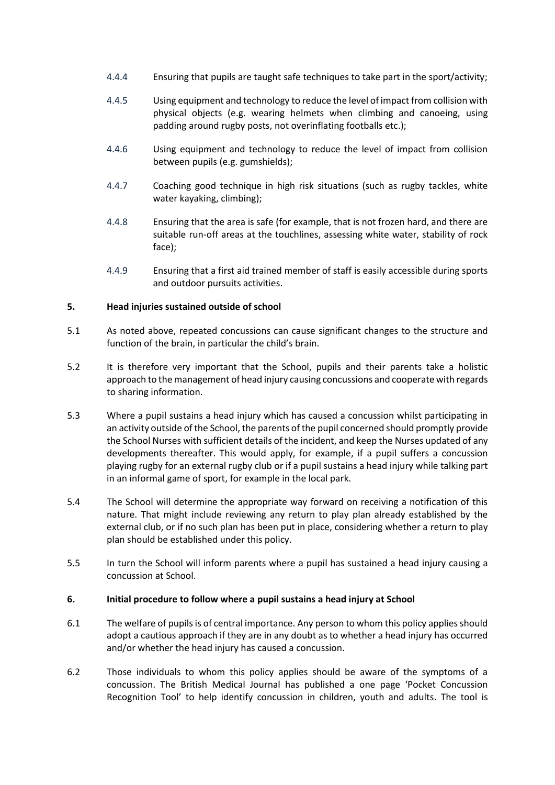- 4.4.4 Ensuring that pupils are taught safe techniques to take part in the sport/activity;
- 4.4.5 Using equipment and technology to reduce the level of impact from collision with physical objects (e.g. wearing helmets when climbing and canoeing, using padding around rugby posts, not overinflating footballs etc.);
- 4.4.6 Using equipment and technology to reduce the level of impact from collision between pupils (e.g. gumshields);
- 4.4.7 Coaching good technique in high risk situations (such as rugby tackles, white water kayaking, climbing);
- 4.4.8 Ensuring that the area is safe (for example, that is not frozen hard, and there are suitable run-off areas at the touchlines, assessing white water, stability of rock face);
- 4.4.9 Ensuring that a first aid trained member of staff is easily accessible during sports and outdoor pursuits activities.

## **5. Head injuries sustained outside of school**

- 5.1 As noted above, repeated concussions can cause significant changes to the structure and function of the brain, in particular the child's brain.
- 5.2 It is therefore very important that the School, pupils and their parents take a holistic approach to the management of head injury causing concussions and cooperate with regards to sharing information.
- 5.3 Where a pupil sustains a head injury which has caused a concussion whilst participating in an activity outside of the School, the parents of the pupil concerned should promptly provide the School Nurses with sufficient details of the incident, and keep the Nurses updated of any developments thereafter. This would apply, for example, if a pupil suffers a concussion playing rugby for an external rugby club or if a pupil sustains a head injury while talking part in an informal game of sport, for example in the local park.
- 5.4 The School will determine the appropriate way forward on receiving a notification of this nature. That might include reviewing any return to play plan already established by the external club, or if no such plan has been put in place, considering whether a return to play plan should be established under this policy.
- 5.5 In turn the School will inform parents where a pupil has sustained a head injury causing a concussion at School.

#### **6. Initial procedure to follow where a pupil sustains a head injury at School**

- 6.1 The welfare of pupilsis of central importance. Any person to whom this policy applies should adopt a cautious approach if they are in any doubt as to whether a head injury has occurred and/or whether the head injury has caused a concussion.
- 6.2 Those individuals to whom this policy applies should be aware of the symptoms of a concussion. The British Medical Journal has published a one page 'Pocket Concussion Recognition Tool' to help identify concussion in children, youth and adults. The tool is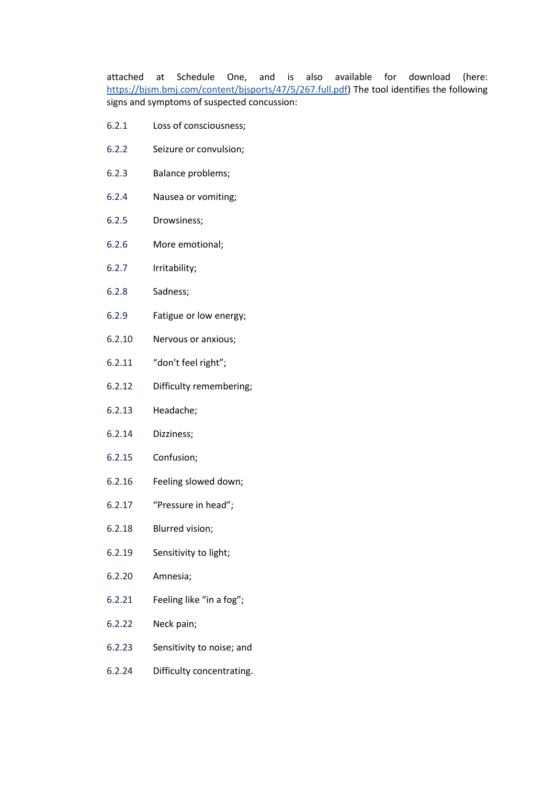attached at Schedule One, and is also available for download (here: [https://bjsm.bmj.com/content/bjsports/47/5/267.full.pdf\)](https://bjsm.bmj.com/content/bjsports/47/5/267.full.pdf) The tool identifies the following signs and symptoms of suspected concussion:

- 6.2.1 Loss of consciousness;
- 6.2.2 Seizure or convulsion;
- 6.2.3 Balance problems;
- 6.2.4 Nausea or vomiting;
- 6.2.5 Drowsiness;
- 6.2.6 More emotional;
- 6.2.7 Irritability;
- 6.2.8 Sadness;
- 6.2.9 Fatigue or low energy;
- 6.2.10 Nervous or anxious;
- 6.2.11 "don't feel right";
- 6.2.12 Difficulty remembering;
- 6.2.13 Headache;
- 6.2.14 Dizziness;
- 6.2.15 Confusion;
- 6.2.16 Feeling slowed down;
- 6.2.17 "Pressure in head";
- 6.2.18 Blurred vision;
- 6.2.19 Sensitivity to light;
- 6.2.20 Amnesia;
- 6.2.21 Feeling like "in a fog";
- 6.2.22 Neck pain;
- 6.2.23 Sensitivity to noise; and
- 6.2.24 Difficulty concentrating.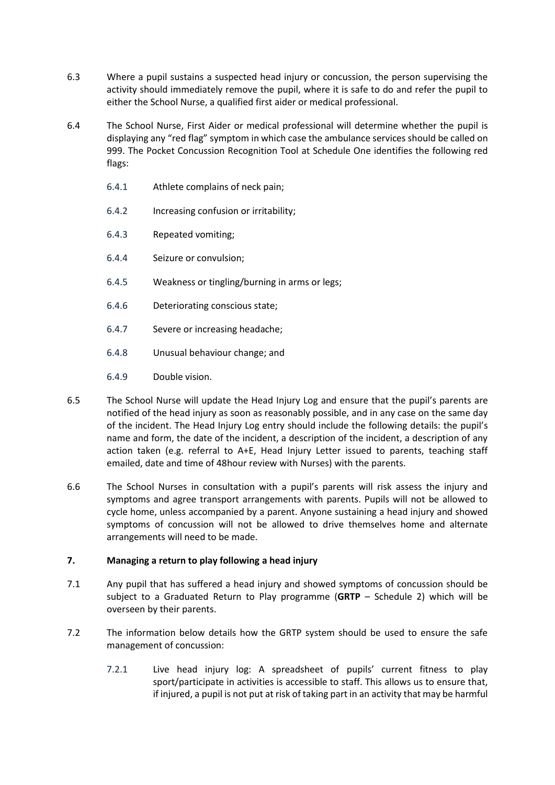- 6.3 Where a pupil sustains a suspected head injury or concussion, the person supervising the activity should immediately remove the pupil, where it is safe to do and refer the pupil to either the School Nurse, a qualified first aider or medical professional.
- 6.4 The School Nurse, First Aider or medical professional will determine whether the pupil is displaying any "red flag" symptom in which case the ambulance services should be called on 999. The Pocket Concussion Recognition Tool at Schedule One identifies the following red flags:
	- 6.4.1 Athlete complains of neck pain;
	- 6.4.2 Increasing confusion or irritability;
	- 6.4.3 Repeated vomiting;
	- 6.4.4 Seizure or convulsion;
	- 6.4.5 Weakness or tingling/burning in arms or legs;
	- 6.4.6 Deteriorating conscious state;
	- 6.4.7 Severe or increasing headache;
	- 6.4.8 Unusual behaviour change; and
	- 6.4.9 Double vision.
- 6.5 The School Nurse will update the Head Injury Log and ensure that the pupil's parents are notified of the head injury as soon as reasonably possible, and in any case on the same day of the incident. The Head Injury Log entry should include the following details: the pupil's name and form, the date of the incident, a description of the incident, a description of any action taken (e.g. referral to A+E, Head Injury Letter issued to parents, teaching staff emailed, date and time of 48hour review with Nurses) with the parents.
- 6.6 The School Nurses in consultation with a pupil's parents will risk assess the injury and symptoms and agree transport arrangements with parents. Pupils will not be allowed to cycle home, unless accompanied by a parent. Anyone sustaining a head injury and showed symptoms of concussion will not be allowed to drive themselves home and alternate arrangements will need to be made.

#### **7. Managing a return to play following a head injury**

- 7.1 Any pupil that has suffered a head injury and showed symptoms of concussion should be subject to a Graduated Return to Play programme (**GRTP** – Schedule 2) which will be overseen by their parents.
- 7.2 The information below details how the GRTP system should be used to ensure the safe management of concussion:
	- 7.2.1 Live head injury log: A spreadsheet of pupils' current fitness to play sport/participate in activities is accessible to staff. This allows us to ensure that, if injured, a pupil is not put at risk of taking part in an activity that may be harmful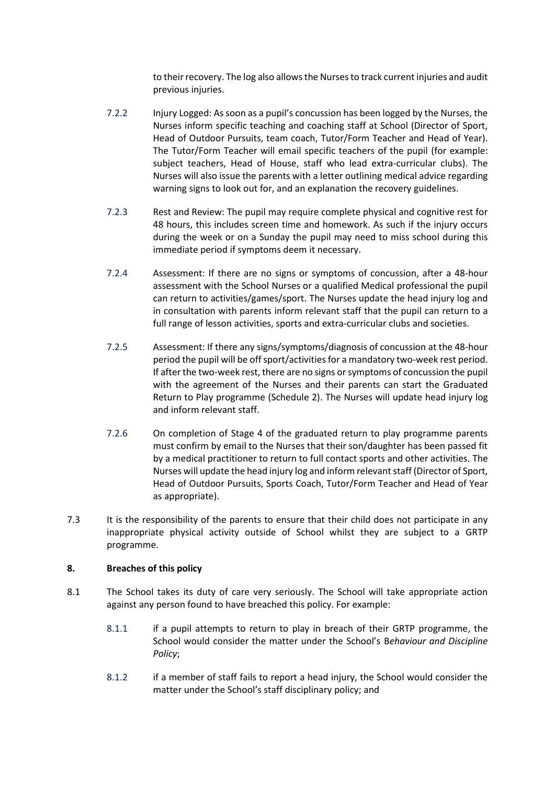to their recovery. The log also allows the Nurses to track current injuries and audit previous injuries.

- 7.2.2 Injury Logged: As soon as a pupil's concussion has been logged by the Nurses, the Nurses inform specific teaching and coaching staff at School (Director of Sport, Head of Outdoor Pursuits, team coach, Tutor/Form Teacher and Head of Year). The Tutor/Form Teacher will email specific teachers of the pupil (for example: subject teachers, Head of House, staff who lead extra-curricular clubs). The Nurses will also issue the parents with a letter outlining medical advice regarding warning signs to look out for, and an explanation the recovery guidelines.
- 7.2.3 Rest and Review: The pupil may require complete physical and cognitive rest for 48 hours, this includes screen time and homework. As such if the injury occurs during the week or on a Sunday the pupil may need to miss school during this immediate period if symptoms deem it necessary.
- 7.2.4 Assessment: If there are no signs or symptoms of concussion, after a 48-hour assessment with the School Nurses or a qualified Medical professional the pupil can return to activities/games/sport. The Nurses update the head injury log and in consultation with parents inform relevant staff that the pupil can return to a full range of lesson activities, sports and extra-curricular clubs and societies.
- 7.2.5 Assessment: If there any signs/symptoms/diagnosis of concussion at the 48-hour period the pupil will be off sport/activities for a mandatory two-week rest period. If after the two-week rest, there are no signs or symptoms of concussion the pupil with the agreement of the Nurses and their parents can start the Graduated Return to Play programme (Schedule 2). The Nurses will update head injury log and inform relevant staff.
- 7.2.6 On completion of Stage 4 of the graduated return to play programme parents must confirm by email to the Nurses that their son/daughter has been passed fit by a medical practitioner to return to full contact sports and other activities. The Nurses will update the head injury log and inform relevant staff (Director of Sport, Head of Outdoor Pursuits, Sports Coach, Tutor/Form Teacher and Head of Year as appropriate).
- 7.3 It is the responsibility of the parents to ensure that their child does not participate in any inappropriate physical activity outside of School whilst they are subject to a GRTP programme.

#### **8. Breaches of this policy**

- 8.1 The School takes its duty of care very seriously. The School will take appropriate action against any person found to have breached this policy. For example:
	- 8.1.1 if a pupil attempts to return to play in breach of their GRTP programme, the School would consider the matter under the School's B*ehaviour and Discipline Policy*;
	- 8.1.2 if a member of staff fails to report a head injury, the School would consider the matter under the School's staff disciplinary policy; and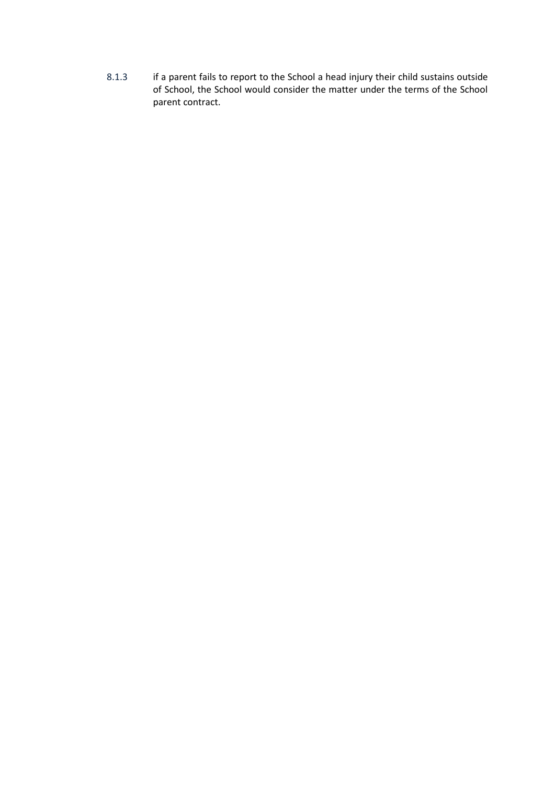8.1.3 if a parent fails to report to the School a head injury their child sustains outside of School, the School would consider the matter under the terms of the School parent contract.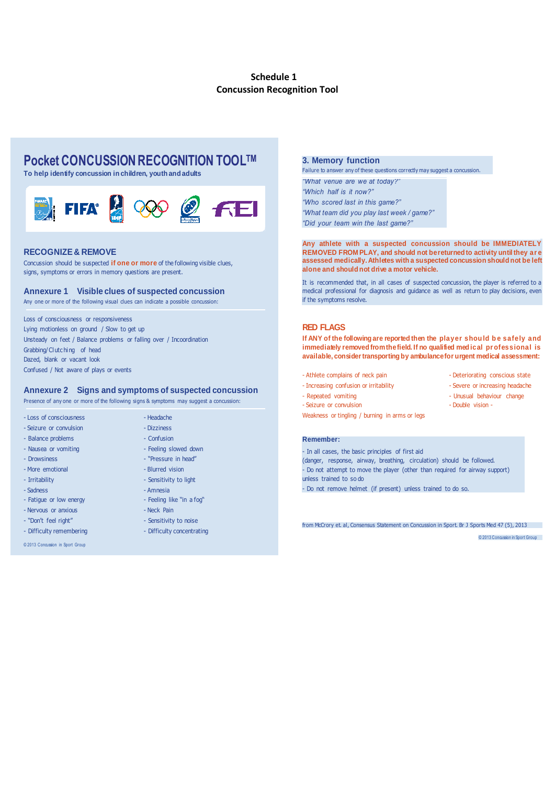#### **Schedule 1 Concussion Recognition Tool**

# **Pocket CONCUSSION RECOGNITION TOOLTM**

**To help identify concussion in children, youth and adults**



#### **RECOGNIZE & REMOVE**

Concussion should be suspected **if one or more** of the following visible clues, signs, symptoms or errors in memory questions are present.

#### **Annexure 1 Visible clues of suspected concussion**

Any one or more of the following visual clues can indicate a possible concussion:

Loss of consciousness or responsiveness Lying motionless on ground / Slow to get up Unsteady on feet / Balance problems or falling over / Incoordination Grabbing/Clutc hing of head Dazed, blank or vacant look Confused / Not aware of plays or events

#### **Annexure 2 Signs and symptoms of suspected concussion**

Presence of any one or more of the following signs & symptoms may suggest a concussion:

| - Loss of consciousness          | - Headache                 |
|----------------------------------|----------------------------|
| - Seizure or convulsion          | - Dizziness                |
| - Balance problems               | - Confusion                |
| - Nausea or vomiting             | - Feeling slowed down      |
| - Drowsiness                     | - "Pressure in head"       |
| - More emotional                 | - Blurred vision           |
| - Irritability                   | - Sensitivity to light     |
| - Sadness                        | - Amnesia                  |
| - Fatique or low energy          | - Feeling like "in a fog"  |
| - Nervous or anxious             | - Neck Pain                |
| - "Don't feel right"             | - Sensitivity to noise     |
| - Difficulty remembering         | - Difficulty concentrating |
| © 2013 Concussion in Sport Group |                            |

#### **3. Memory function**

Failure to answer any of these questions correctly may suggest a concussion.

*"What venue are we at today?" "Which half is it now?" "Who scored last in this game?" "What team did you play last week / game?" "Did your team win the last game?"*

**Any athlete with a suspected concussion should be IMMEDIATELY REMOVED FROM PLAY, and should not be returned to activity until they ar e assessed medically. Athletes with a suspected concussion should not be left alone and should not drive a motor vehicle.**

It is recommended that, in all cases of suspected concussion, the player is referred to a medical professional for diagnosis and guidance as well as return to play decisions, even if the symptoms resolve.

#### **RED FLAGS**

if the symptoms resolve.<br>**RED FLAGS**<br>If ANY of the following are reported then the player should be safely and<br>immediately removed from the field. If no qualified medical professional is **RED FLAGS**<br>If ANY of the following are reported then the player should be safely and<br>immediately removed from the field. If no qualified med ical professional is<br>available, consider transporting by ambulance for urgent me **available, consider transporting by ambulance for urgent medical assessment:**

- Athlete complains of neck pain and the state of Deteriorating conscious state
- Increasing confusion or irritability Severe or increasing headache
- -
- 
- Repeated vomiting Unusual behaviour change
- Seizure or convulsion  $-$  Double vision -
- Weakness or tingling / burning in arms or legs

#### **Remember:**

- In all cases, the basic principles of first aid (danger, response, airway, breathing, circulation) should be followed. - Do not attempt to move the player (other than required for airway support) unless trained to so do - Do not remove helmet (if present) unless trained to do so.

from McCrory et. al, Consensus Statement on Concussion in Sport. Br J Sports Med 47 (5), 2013

© 2013 Concussion in Sport Group